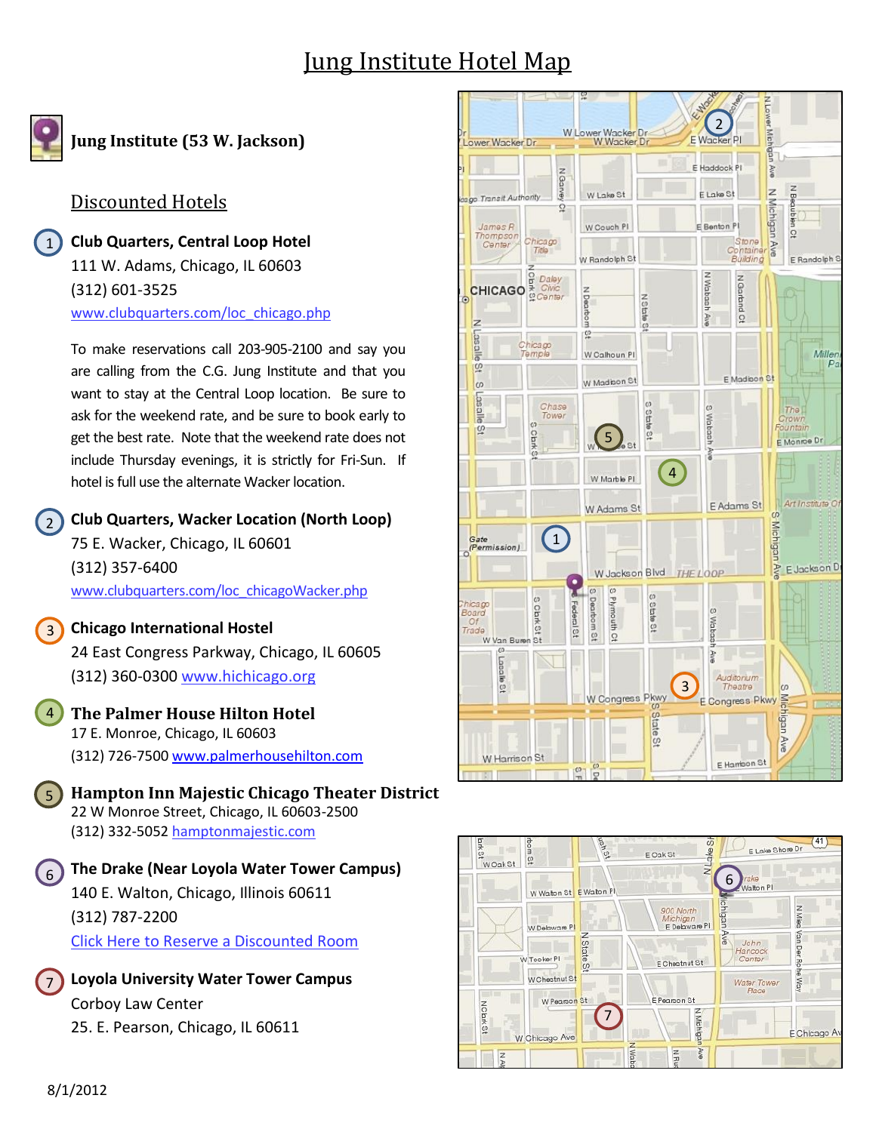# Jung Institute Hotel Map



 $\left( \begin{array}{c} 1 \end{array} \right)$ 

**Jung Institute (53 W. Jackson)**

### Discounted Hotels

**Club Quarters, Central Loop Hotel** 111 W. Adams, Chicago, IL 60603 (312) 601-3525 [www.clubquarters.com/loc\\_chicago.php](http://www.clubquarters.com/loc_chicago.php)

To make reservations call 203-905-2100 and say you are calling from the C.G. Jung Institute and that you want to stay at the Central Loop location. Be sure to ask for the weekend rate, and be sure to book early to get the best rate. Note that the weekend rate does not include Thursday evenings, it is strictly for Fri-Sun. If hotel is full use the alternate Wacker location.

**Club Quarters, Wacker Location (North Loop)** 2

75 E. Wacker, Chicago, IL 60601 (312) 357-6400 [www.clubquarters.com/loc\\_chicagoWacker.php](http://www.clubquarters.com/loc_chicagoWacker.php)

#### **Chicago International Hostel** 3

24 East Congress Parkway, Chicago, IL 60605 (312) 360-0300 [www.hichicago.org](http://www.hichicago.org/)

#### **The Palmer House Hilton Hotel** 17 E. Monroe, Chicago, IL 60603 (312) 726-7500 [www.palmerhousehilton.com](http://www.palmerhousehilton.com/) 4

**Hampton Inn Majestic Chicago Theater District** 22 W Monroe Street, Chicago, IL 60603-2500 (312) 332-5052 [hamptonmajestic.com](http://maps.google.com/local_url?q=http://www.hamptonmajestic.com/%3Futm_source%3Dgoogle%26utm_medium%3Dplaces%26utm_campaign%3Dgoogle_places_ms&dq=hotel&cid=8924130440422197076&hl=en&dtab=2&ppsci=G&followup=http://maps.google.com/maps%3Fnear%3D53%2BW%2BJackson%2BBlvd,%2BChicago,%2BIL%2B60604%26geocode%3DCc-s68sgUKr_FSECfwIdKOHG-im1bB7fvCwOiDGWK3MZcQg4ow%26q%3Dhotel%26f%3Dl%26hl%3Den%26sll%3D41.878049,-87.629528%26sspn%3D0.008579,0.016437%26vpsrc%3D6%26ie%3DUTF8%26hq%3Dhotel%26hnear%3D%26t%3Dh%26fll%3D41.87874,-87.631202%26fspn%3D0.004098,0.008218%26st%3D115968771510351694523%26rq%3D1%26ev%3Dzi%26split%3D1%26ll%3D41.883589,-87.625966%26spn%3D0.016391,0.032873%26z%3D15%26iwloc%3DG&ppscl=lmq:1001:hotel%7Ccc:US%7Ch:8%7Chpci:2011-11-20%7Chpnn:1%7Cs:115968771510351694523%7Cxc:14*,12&vps=2&output=js&ved=0CD8Q5AQ&sa=X&ei=NQO8TrC4FMOw8gbLz8XFDA&s=ANYYN7kb-3Cp8EbvtaSyt5HTCmqUMn-19Q) 5

**The Drake (Near Loyola Water Tower Campus)** 140 E. Walton, Chicago, Illinois 60611 (312) 787-2200 [Click Here to Reserve a Discounted Room](http://www.hilton.com/en/hi/reservations/index.jhtml?hotel=CHIDHHH&corporateCode=N2744508)  $6<sup>1</sup>$ 

**Loyola University Water Tower Campus** Corboy Law Center 25. E. Pearson, Chicago, IL 60611 7